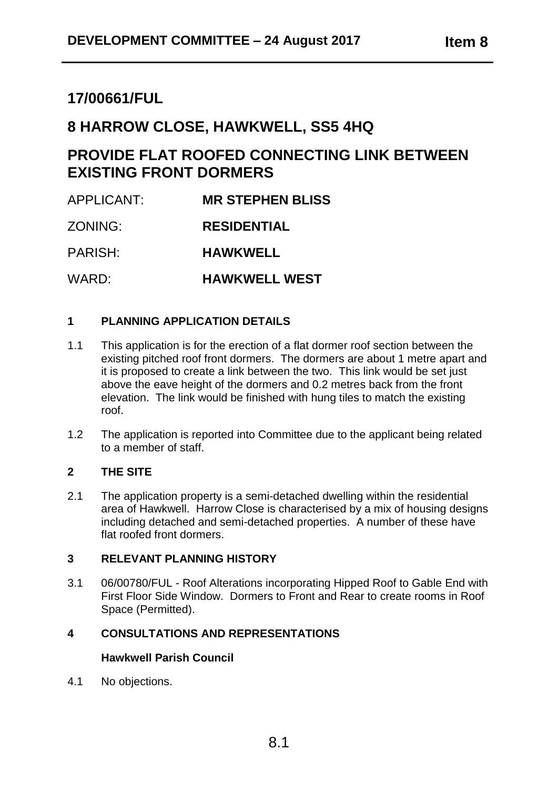# **17/00661/FUL**

# **8 HARROW CLOSE, HAWKWELL, SS5 4HQ**

# **PROVIDE FLAT ROOFED CONNECTING LINK BETWEEN EXISTING FRONT DORMERS**

APPLICANT: **MR STEPHEN BLISS** ZONING: **RESIDENTIAL** PARISH: **HAWKWELL** WARD: **HAWKWELL WEST**

# **1 PLANNING APPLICATION DETAILS**

- 1.1 This application is for the erection of a flat dormer roof section between the existing pitched roof front dormers. The dormers are about 1 metre apart and it is proposed to create a link between the two. This link would be set just above the eave height of the dormers and 0.2 metres back from the front elevation. The link would be finished with hung tiles to match the existing roof.
- 1.2 The application is reported into Committee due to the applicant being related to a member of staff.

# **2 THE SITE**

2.1 The application property is a semi-detached dwelling within the residential area of Hawkwell. Harrow Close is characterised by a mix of housing designs including detached and semi-detached properties. A number of these have flat roofed front dormers.

#### **3 RELEVANT PLANNING HISTORY**

3.1 06/00780/FUL - Roof Alterations incorporating Hipped Roof to Gable End with First Floor Side Window. Dormers to Front and Rear to create rooms in Roof Space (Permitted).

# **4 CONSULTATIONS AND REPRESENTATIONS**

# **Hawkwell Parish Council**

4.1 No objections.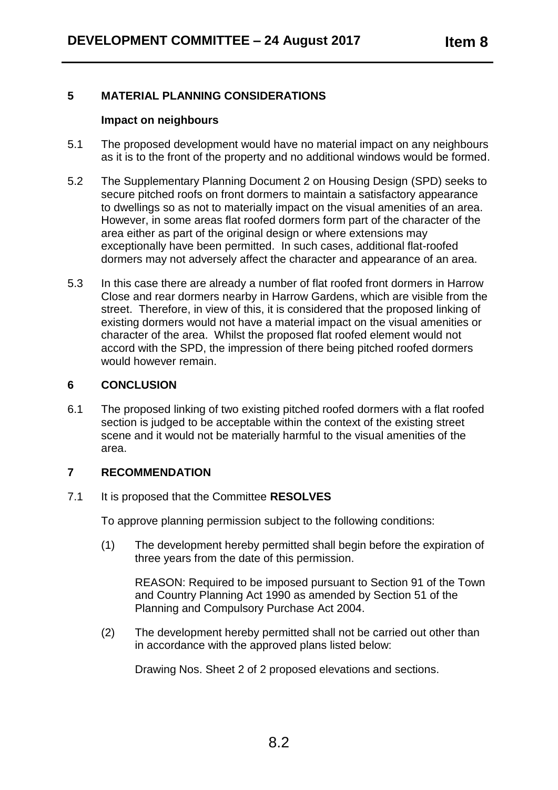# **5 MATERIAL PLANNING CONSIDERATIONS**

#### **Impact on neighbours**

- 5.1 The proposed development would have no material impact on any neighbours as it is to the front of the property and no additional windows would be formed.
- 5.2 The Supplementary Planning Document 2 on Housing Design (SPD) seeks to secure pitched roofs on front dormers to maintain a satisfactory appearance to dwellings so as not to materially impact on the visual amenities of an area. However, in some areas flat roofed dormers form part of the character of the area either as part of the original design or where extensions may exceptionally have been permitted. In such cases, additional flat-roofed dormers may not adversely affect the character and appearance of an area.
- 5.3 In this case there are already a number of flat roofed front dormers in Harrow Close and rear dormers nearby in Harrow Gardens, which are visible from the street. Therefore, in view of this, it is considered that the proposed linking of existing dormers would not have a material impact on the visual amenities or character of the area. Whilst the proposed flat roofed element would not accord with the SPD, the impression of there being pitched roofed dormers would however remain.

# **6 CONCLUSION**

6.1 The proposed linking of two existing pitched roofed dormers with a flat roofed section is judged to be acceptable within the context of the existing street scene and it would not be materially harmful to the visual amenities of the area.

# **7 RECOMMENDATION**

7.1 It is proposed that the Committee **RESOLVES**

To approve planning permission subject to the following conditions:

(1) The development hereby permitted shall begin before the expiration of three years from the date of this permission.

REASON: Required to be imposed pursuant to Section 91 of the Town and Country Planning Act 1990 as amended by Section 51 of the Planning and Compulsory Purchase Act 2004.

(2) The development hereby permitted shall not be carried out other than in accordance with the approved plans listed below:

Drawing Nos. Sheet 2 of 2 proposed elevations and sections.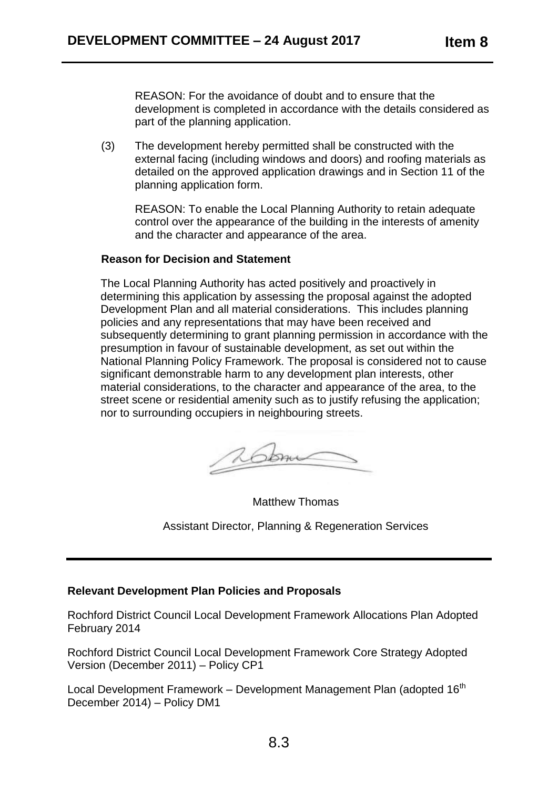REASON: For the avoidance of doubt and to ensure that the development is completed in accordance with the details considered as part of the planning application.

(3) The development hereby permitted shall be constructed with the external facing (including windows and doors) and roofing materials as detailed on the approved application drawings and in Section 11 of the planning application form.

REASON: To enable the Local Planning Authority to retain adequate control over the appearance of the building in the interests of amenity and the character and appearance of the area.

#### **Reason for Decision and Statement**

The Local Planning Authority has acted positively and proactively in determining this application by assessing the proposal against the adopted Development Plan and all material considerations. This includes planning policies and any representations that may have been received and subsequently determining to grant planning permission in accordance with the presumption in favour of sustainable development, as set out within the National Planning Policy Framework. The proposal is considered not to cause significant demonstrable harm to any development plan interests, other material considerations, to the character and appearance of the area, to the street scene or residential amenity such as to justify refusing the application; nor to surrounding occupiers in neighbouring streets.

Matthew Thomas

Assistant Director, Planning & Regeneration Services

#### **Relevant Development Plan Policies and Proposals**

Rochford District Council Local Development Framework Allocations Plan Adopted February 2014

Rochford District Council Local Development Framework Core Strategy Adopted Version (December 2011) – Policy CP1

Local Development Framework – Development Management Plan (adopted  $16<sup>th</sup>$ December 2014) – Policy DM1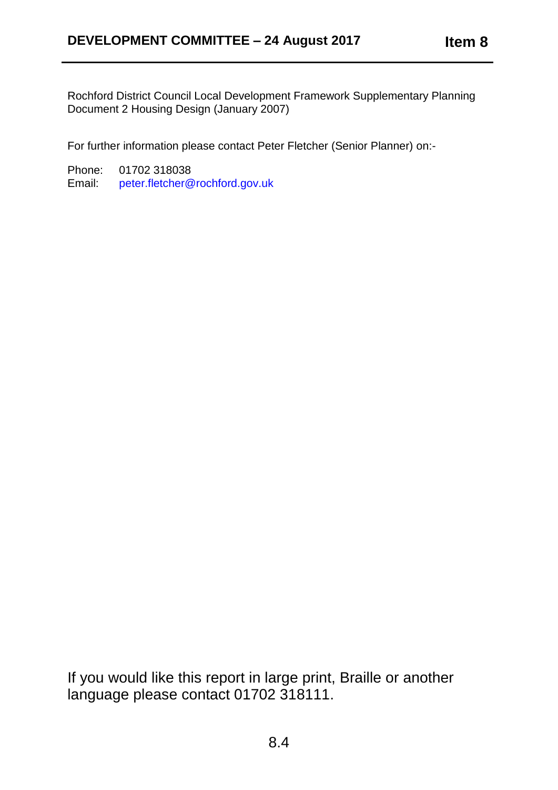Rochford District Council Local Development Framework Supplementary Planning Document 2 Housing Design (January 2007)

For further information please contact Peter Fletcher (Senior Planner) on:-

Phone: 01702 318038 Email: [peter.fletcher@rochford.gov.uk](mailto:peter.fletcher@rochford.gov.uk)

If you would like this report in large print, Braille or another language please contact 01702 318111.